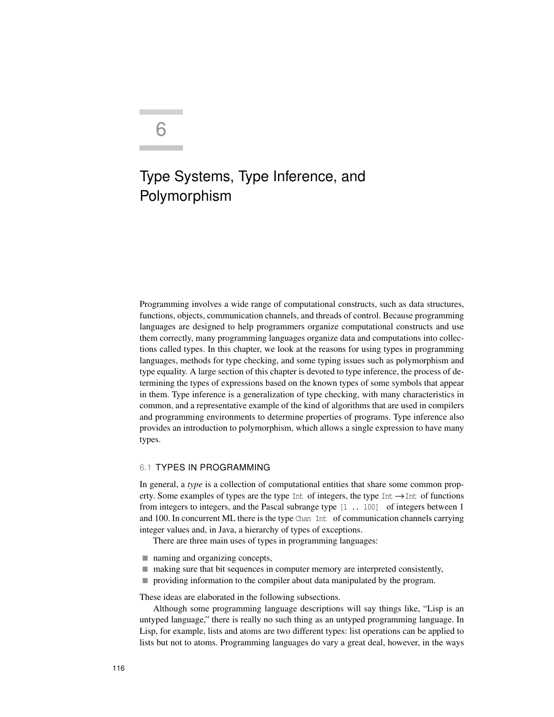# 6

# Type Systems, Type Inference, and Polymorphism

Programming involves a wide range of computational constructs, such as data structures, functions, objects, communication channels, and threads of control. Because programming languages are designed to help programmers organize computational constructs and use them correctly, many programming languages organize data and computations into collections called types. In this chapter, we look at the reasons for using types in programming languages, methods for type checking, and some typing issues such as polymorphism and type equality. A large section of this chapter is devoted to type inference, the process of determining the types of expressions based on the known types of some symbols that appear in them. Type inference is a generalization of type checking, with many characteristics in common, and a representative example of the kind of algorithms that are used in compilers and programming environments to determine properties of programs. Type inference also provides an introduction to polymorphism, which allows a single expression to have many types.

# 6.1 TYPES IN PROGRAMMING

In general, a *type* is a collection of computational entities that share some common property. Some examples of types are the type Int of integers, the type Int *→*Int of functions from integers to integers, and the Pascal subrange type [1 .. 100] of integers between 1 and 100. In concurrent ML there is the type Chan Int of communication channels carrying integer values and, in Java, a hierarchy of types of exceptions.

There are three main uses of types in programming languages:

- naming and organizing concepts,
- making sure that bit sequences in computer memory are interpreted consistently,
- providing information to the compiler about data manipulated by the program.

These ideas are elaborated in the following subsections.

Although some programming language descriptions will say things like, "Lisp is an untyped language," there is really no such thing as an untyped programming language. In Lisp, for example, lists and atoms are two different types: list operations can be applied to lists but not to atoms. Programming languages do vary a great deal, however, in the ways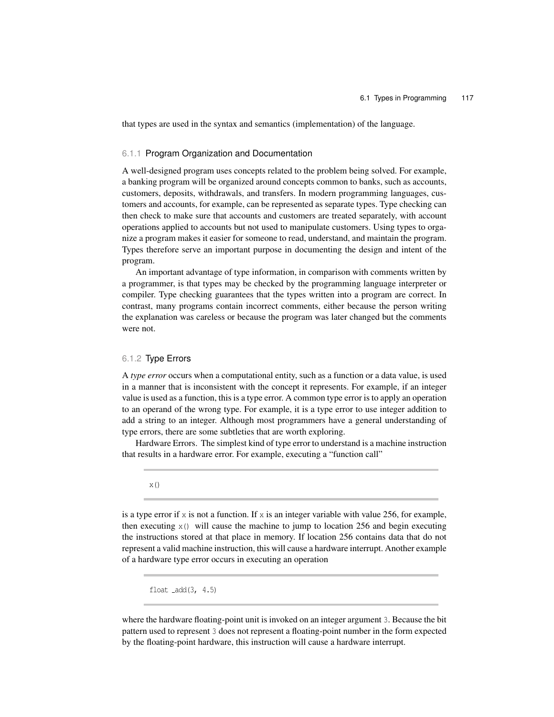that types are used in the syntax and semantics (implementation) of the language.

# 6.1.1 Program Organization and Documentation

A well-designed program uses concepts related to the problem being solved. For example, a banking program will be organized around concepts common to banks, such as accounts, customers, deposits, withdrawals, and transfers. In modern programming languages, customers and accounts, for example, can be represented as separate types. Type checking can then check to make sure that accounts and customers are treated separately, with account operations applied to accounts but not used to manipulate customers. Using types to organize a program makes it easier for someone to read, understand, and maintain the program. Types therefore serve an important purpose in documenting the design and intent of the program.

An important advantage of type information, in comparison with comments written by a programmer, is that types may be checked by the programming language interpreter or compiler. Type checking guarantees that the types written into a program are correct. In contrast, many programs contain incorrect comments, either because the person writing the explanation was careless or because the program was later changed but the comments were not.

# 6.1.2 Type Errors

A *type error* occurs when a computational entity, such as a function or a data value, is used in a manner that is inconsistent with the concept it represents. For example, if an integer value is used as a function, this is a type error. A common type error is to apply an operation to an operand of the wrong type. For example, it is a type error to use integer addition to add a string to an integer. Although most programmers have a general understanding of type errors, there are some subtleties that are worth exploring.

Hardware Errors. The simplest kind of type error to understand is a machine instruction that results in a hardware error. For example, executing a "function call"

 $x()$ 

is a type error if x is not a function. If x is an integer variable with value 256, for example, then executing  $x()$  will cause the machine to jump to location 256 and begin executing the instructions stored at that place in memory. If location 256 contains data that do not represent a valid machine instruction, this will cause a hardware interrupt. Another example of a hardware type error occurs in executing an operation

float  $ad(3, 4.5)$ 

where the hardware floating-point unit is invoked on an integer argument 3. Because the bit pattern used to represent 3 does not represent a floating-point number in the form expected by the floating-point hardware, this instruction will cause a hardware interrupt.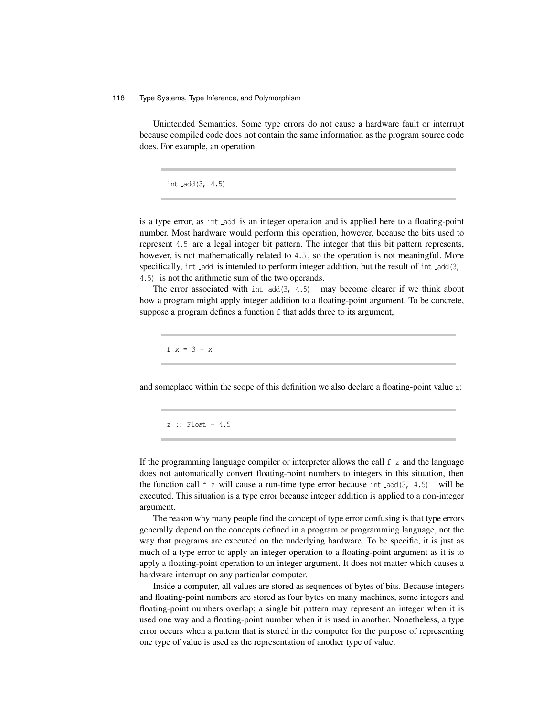Unintended Semantics. Some type errors do not cause a hardware fault or interrupt because compiled code does not contain the same information as the program source code does. For example, an operation

int  $add(3, 4.5)$ 

is a type error, as int add is an integer operation and is applied here to a floating-point number. Most hardware would perform this operation, however, because the bits used to represent 4.5 are a legal integer bit pattern. The integer that this bit pattern represents, however, is not mathematically related to 4.5 , so the operation is not meaningful. More specifically, int  $ad$ d is intended to perform integer addition, but the result of int  $ad\ddot{\alpha}$  (3, 4.5) is not the arithmetic sum of the two operands.

The error associated with  $int$   $ad(3, 4.5)$  may become clearer if we think about how a program might apply integer addition to a floating-point argument. To be concrete, suppose a program defines a function  $f$  that adds three to its argument,

f  $x = 3 + x$ 

and someplace within the scope of this definition we also declare a floating-point value z:

 $z$  :: Float = 4.5

If the programming language compiler or interpreter allows the call  $f \, z$  and the language does not automatically convert floating-point numbers to integers in this situation, then the function call  $f \, z$  will cause a run-time type error because int  $\text{ad}(3, 4.5)$  will be executed. This situation is a type error because integer addition is applied to a non-integer argument.

The reason why many people find the concept of type error confusing is that type errors generally depend on the concepts defined in a program or programming language, not the way that programs are executed on the underlying hardware. To be specific, it is just as much of a type error to apply an integer operation to a floating-point argument as it is to apply a floating-point operation to an integer argument. It does not matter which causes a hardware interrupt on any particular computer.

Inside a computer, all values are stored as sequences of bytes of bits. Because integers and floating-point numbers are stored as four bytes on many machines, some integers and floating-point numbers overlap; a single bit pattern may represent an integer when it is used one way and a floating-point number when it is used in another. Nonetheless, a type error occurs when a pattern that is stored in the computer for the purpose of representing one type of value is used as the representation of another type of value.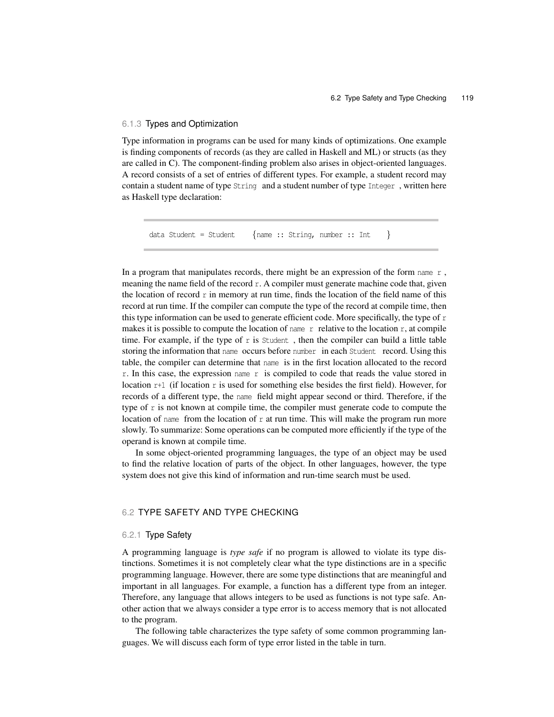#### 6.1.3 Types and Optimization

Type information in programs can be used for many kinds of optimizations. One example is finding components of records (as they are called in Haskell and ML) or structs (as they are called in C). The component-finding problem also arises in object-oriented languages. A record consists of a set of entries of different types. For example, a student record may contain a student name of type String and a student number of type Integer , written here as Haskell type declaration:

data Student = Student *{*name :: String, number :: Int *}*

In a program that manipulates records, there might be an expression of the form name  $r$ , meaning the name field of the record  $r$ . A compiler must generate machine code that, given the location of record  $r$  in memory at run time, finds the location of the field name of this record at run time. If the compiler can compute the type of the record at compile time, then this type information can be used to generate efficient code. More specifically, the type of r makes it is possible to compute the location of name  $r$  relative to the location  $r$ , at compile time. For example, if the type of  $r$  is Student, then the compiler can build a little table storing the information that name occurs before number in each Student record. Using this table, the compiler can determine that name is in the first location allocated to the record r. In this case, the expression name  $r$  is compiled to code that reads the value stored in location  $r+1$  (if location r is used for something else besides the first field). However, for records of a different type, the name field might appear second or third. Therefore, if the type of  $r$  is not known at compile time, the compiler must generate code to compute the location of name from the location of  $r$  at run time. This will make the program run more slowly. To summarize: Some operations can be computed more efficiently if the type of the operand is known at compile time.

In some object-oriented programming languages, the type of an object may be used to find the relative location of parts of the object. In other languages, however, the type system does not give this kind of information and run-time search must be used.

# 6.2 TYPE SAFETY AND TYPE CHECKING

## 6.2.1 Type Safety

A programming language is *type safe* if no program is allowed to violate its type distinctions. Sometimes it is not completely clear what the type distinctions are in a specific programming language. However, there are some type distinctions that are meaningful and important in all languages. For example, a function has a different type from an integer. Therefore, any language that allows integers to be used as functions is not type safe. Another action that we always consider a type error is to access memory that is not allocated to the program.

The following table characterizes the type safety of some common programming languages. We will discuss each form of type error listed in the table in turn.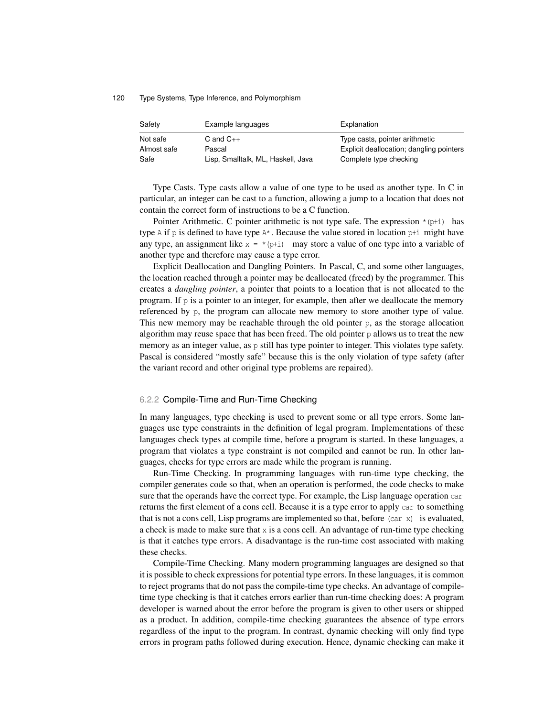| Safety      | Example languages                  | Explanation                              |  |
|-------------|------------------------------------|------------------------------------------|--|
| Not safe    | $C$ and $C_{++}$                   | Type casts, pointer arithmetic           |  |
| Almost safe | Pascal                             | Explicit deallocation; dangling pointers |  |
| Safe        | Lisp, Smalltalk, ML, Haskell, Java | Complete type checking                   |  |

Type Casts. Type casts allow a value of one type to be used as another type. In C in particular, an integer can be cast to a function, allowing a jump to a location that does not contain the correct form of instructions to be a C function.

Pointer Arithmetic. C pointer arithmetic is not type safe. The expression  $*(p+i)$  has type A if p is defined to have type A\* . Because the value stored in location p+i might have any type, an assignment like  $x = * (p+i)$  may store a value of one type into a variable of another type and therefore may cause a type error.

Explicit Deallocation and Dangling Pointers. In Pascal, C, and some other languages, the location reached through a pointer may be deallocated (freed) by the programmer. This creates a *dangling pointer*, a pointer that points to a location that is not allocated to the program. If  $p$  is a pointer to an integer, for example, then after we deallocate the memory referenced by p, the program can allocate new memory to store another type of value. This new memory may be reachable through the old pointer p, as the storage allocation algorithm may reuse space that has been freed. The old pointer p allows us to treat the new memory as an integer value, as p still has type pointer to integer. This violates type safety. Pascal is considered "mostly safe" because this is the only violation of type safety (after the variant record and other original type problems are repaired).

## 6.2.2 Compile-Time and Run-Time Checking

In many languages, type checking is used to prevent some or all type errors. Some languages use type constraints in the definition of legal program. Implementations of these languages check types at compile time, before a program is started. In these languages, a program that violates a type constraint is not compiled and cannot be run. In other languages, checks for type errors are made while the program is running.

Run-Time Checking. In programming languages with run-time type checking, the compiler generates code so that, when an operation is performed, the code checks to make sure that the operands have the correct type. For example, the Lisp language operation car returns the first element of a cons cell. Because it is a type error to apply car to something that is not a cons cell, Lisp programs are implemented so that, before  $(car x)$  is evaluated, a check is made to make sure that  $x$  is a cons cell. An advantage of run-time type checking is that it catches type errors. A disadvantage is the run-time cost associated with making these checks.

Compile-Time Checking. Many modern programming languages are designed so that it is possible to check expressions for potential type errors. In these languages, it is common to reject programs that do not pass the compile-time type checks. An advantage of compiletime type checking is that it catches errors earlier than run-time checking does: A program developer is warned about the error before the program is given to other users or shipped as a product. In addition, compile-time checking guarantees the absence of type errors regardless of the input to the program. In contrast, dynamic checking will only find type errors in program paths followed during execution. Hence, dynamic checking can make it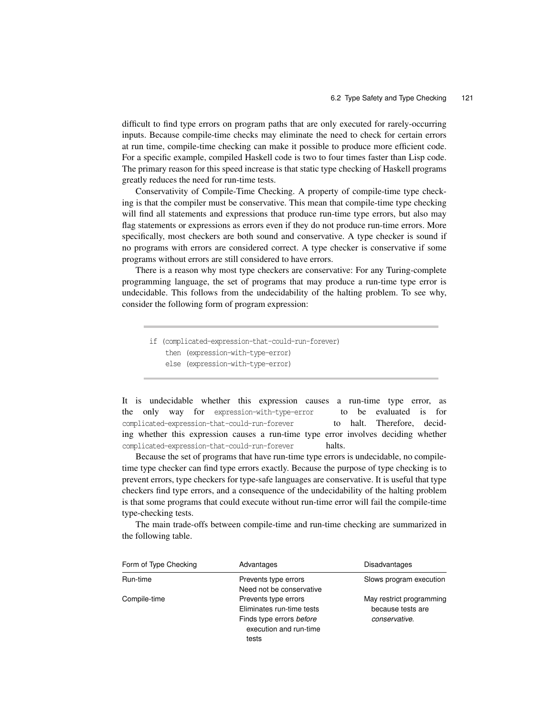difficult to find type errors on program paths that are only executed for rarely-occurring inputs. Because compile-time checks may eliminate the need to check for certain errors at run time, compile-time checking can make it possible to produce more efficient code. For a specific example, compiled Haskell code is two to four times faster than Lisp code. The primary reason for this speed increase is that static type checking of Haskell programs greatly reduces the need for run-time tests.

Conservativity of Compile-Time Checking. A property of compile-time type checking is that the compiler must be conservative. This mean that compile-time type checking will find all statements and expressions that produce run-time type errors, but also may flag statements or expressions as errors even if they do not produce run-time errors. More specifically, most checkers are both sound and conservative. A type checker is sound if no programs with errors are considered correct. A type checker is conservative if some programs without errors are still considered to have errors.

There is a reason why most type checkers are conservative: For any Turing-complete programming language, the set of programs that may produce a run-time type error is undecidable. This follows from the undecidability of the halting problem. To see why, consider the following form of program expression:

if (complicated-expression-that-could-run-forever) then (expression-with-type-error) else (expression-with-type-error)

It is undecidable whether this expression causes a run-time type error, as the only way for expression-with-type-error to be evaluated is for complicated-expression-that-could-run-forever to halt. Therefore, deciding whether this expression causes a run-time type error involves deciding whether complicated-expression-that-could-run-forever halts.

Because the set of programs that have run-time type errors is undecidable, no compiletime type checker can find type errors exactly. Because the purpose of type checking is to prevent errors, type checkers for type-safe languages are conservative. It is useful that type checkers find type errors, and a consequence of the undecidability of the halting problem is that some programs that could execute without run-time error will fail the compile-time type-checking tests.

The main trade-offs between compile-time and run-time checking are summarized in the following table.

| Form of Type Checking | Advantages                | Disadvantages            |  |
|-----------------------|---------------------------|--------------------------|--|
| Run-time              | Prevents type errors      | Slows program execution  |  |
|                       | Need not be conservative  |                          |  |
| Compile-time          | Prevents type errors      | May restrict programming |  |
|                       | Eliminates run-time tests | because tests are        |  |
|                       | Finds type errors before  | conservative.            |  |
|                       | execution and run-time    |                          |  |
|                       | tests                     |                          |  |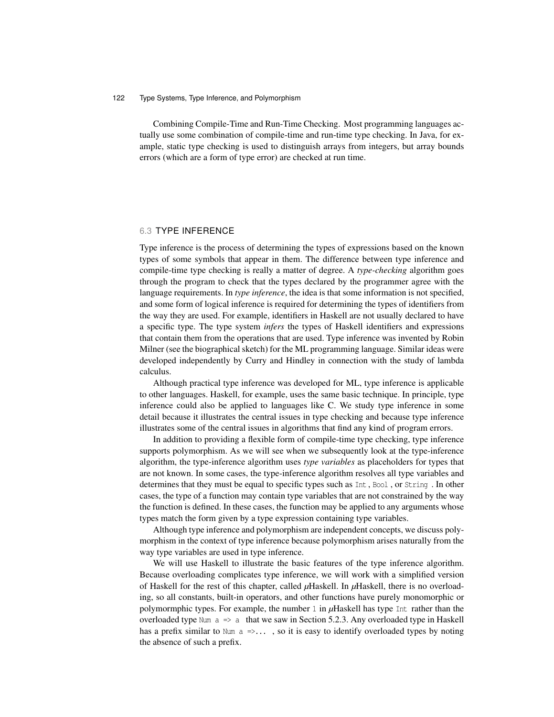Combining Compile-Time and Run-Time Checking. Most programming languages actually use some combination of compile-time and run-time type checking. In Java, for example, static type checking is used to distinguish arrays from integers, but array bounds errors (which are a form of type error) are checked at run time.

# 6.3 TYPE INFERENCE

Type inference is the process of determining the types of expressions based on the known types of some symbols that appear in them. The difference between type inference and compile-time type checking is really a matter of degree. A *type-checking* algorithm goes through the program to check that the types declared by the programmer agree with the language requirements. In *type inference*, the idea is that some information is not specified, and some form of logical inference is required for determining the types of identifiers from the way they are used. For example, identifiers in Haskell are not usually declared to have a specific type. The type system *infers* the types of Haskell identifiers and expressions that contain them from the operations that are used. Type inference was invented by Robin Milner (see the biographical sketch) for the ML programming language. Similar ideas were developed independently by Curry and Hindley in connection with the study of lambda calculus.

Although practical type inference was developed for ML, type inference is applicable to other languages. Haskell, for example, uses the same basic technique. In principle, type inference could also be applied to languages like C. We study type inference in some detail because it illustrates the central issues in type checking and because type inference illustrates some of the central issues in algorithms that find any kind of program errors.

In addition to providing a flexible form of compile-time type checking, type inference supports polymorphism. As we will see when we subsequently look at the type-inference algorithm, the type-inference algorithm uses *type variables* as placeholders for types that are not known. In some cases, the type-inference algorithm resolves all type variables and determines that they must be equal to specific types such as Int , Bool , or String . In other cases, the type of a function may contain type variables that are not constrained by the way the function is defined. In these cases, the function may be applied to any arguments whose types match the form given by a type expression containing type variables.

Although type inference and polymorphism are independent concepts, we discuss polymorphism in the context of type inference because polymorphism arises naturally from the way type variables are used in type inference.

We will use Haskell to illustrate the basic features of the type inference algorithm. Because overloading complicates type inference, we will work with a simplified version of Haskell for the rest of this chapter, called *µ*Haskell. In *µ*Haskell, there is no overloading, so all constants, built-in operators, and other functions have purely monomorphic or polymormphic types. For example, the number 1 in *µ*Haskell has type Int rather than the overloaded type Num  $a \Rightarrow a$  that we saw in Section 5.2.3. Any overloaded type in Haskell has a prefix similar to Num  $a \Rightarrow \dots$ , so it is easy to identify overloaded types by noting the absence of such a prefix.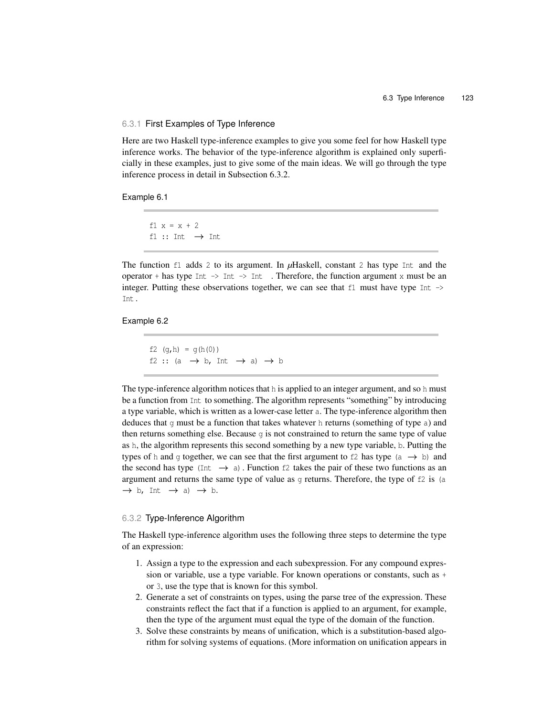## 6.3.1 First Examples of Type Inference

Here are two Haskell type-inference examples to give you some feel for how Haskell type inference works. The behavior of the type-inference algorithm is explained only superficially in these examples, just to give some of the main ideas. We will go through the type inference process in detail in Subsection 6.3.2.

Example 6.1

f1  $x = x + 2$ f1 :: Int *→* Int

The function f1 adds 2 to its argument. In  $\mu$ Haskell, constant 2 has type Int and the operator + has type Int  $\rightarrow$  Int  $\rightarrow$  Int . Therefore, the function argument x must be an integer. Putting these observations together, we can see that  $f_1$  must have type Int  $\rightarrow$ Int .

## Example 6.2

f2  $(g,h) = g(h(0))$ f2 :: (a *→* b, Int *→* a) *→* <sup>b</sup>

The type-inference algorithm notices that h is applied to an integer argument, and so h must be a function from Int to something. The algorithm represents "something" by introducing a type variable, which is written as a lower-case letter a. The type-inference algorithm then deduces that q must be a function that takes whatever h returns (something of type  $\alpha$ ) and then returns something else. Because  $q$  is not constrained to return the same type of value as h, the algorithm represents this second something by a new type variable, b. Putting the types of h and g together, we can see that the first argument to f2 has type ( $a \rightarrow b$ ) and the second has type (Int  $\rightarrow$  a). Function f2 takes the pair of these two functions as an argument and returns the same type of value as q returns. Therefore, the type of  $f2$  is (a *→* b, Int *→* a) *→* <sup>b</sup>.

## 6.3.2 Type-Inference Algorithm

The Haskell type-inference algorithm uses the following three steps to determine the type of an expression:

- 1. Assign a type to the expression and each subexpression. For any compound expression or variable, use a type variable. For known operations or constants, such as + or 3, use the type that is known for this symbol.
- 2. Generate a set of constraints on types, using the parse tree of the expression. These constraints reflect the fact that if a function is applied to an argument, for example, then the type of the argument must equal the type of the domain of the function.
- 3. Solve these constraints by means of unification, which is a substitution-based algorithm for solving systems of equations. (More information on unification appears in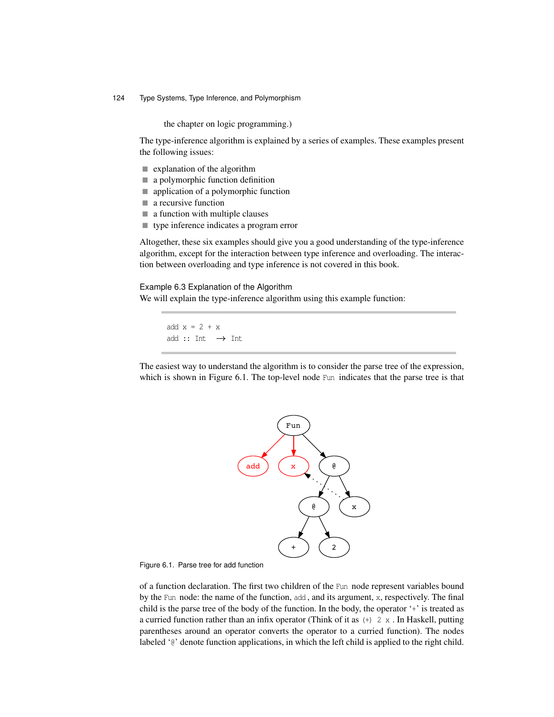the chapter on logic programming.)

The type-inference algorithm is explained by a series of examples. These examples present the following issues:

- explanation of the algorithm
- a polymorphic function definition
- application of a polymorphic function
- a recursive function
- a function with multiple clauses
- type inference indicates a program error

Altogether, these six examples should give you a good understanding of the type-inference algorithm, except for the interaction between type inference and overloading. The interaction between overloading and type inference is not covered in this book.

Example 6.3 Explanation of the Algorithm

We will explain the type-inference algorithm using this example function:

add  $x = 2 + x$ add :: Int *→* Int

The easiest way to understand the algorithm is to consider the parse tree of the expression, which is shown in Figure 6.1. The top-level node Fun indicates that the parse tree is that



Figure 6.1. Parse tree for add function

of a function declaration. The first two children of the Fun node represent variables bound by the Fun node: the name of the function, add , and its argument, x, respectively. The final child is the parse tree of the body of the function. In the body, the operator '+' is treated as a curried function rather than an infix operator (Think of it as  $(+)$  2 x. In Haskell, putting parentheses around an operator converts the operator to a curried function). The nodes labeled '@' denote function applications, in which the left child is applied to the right child.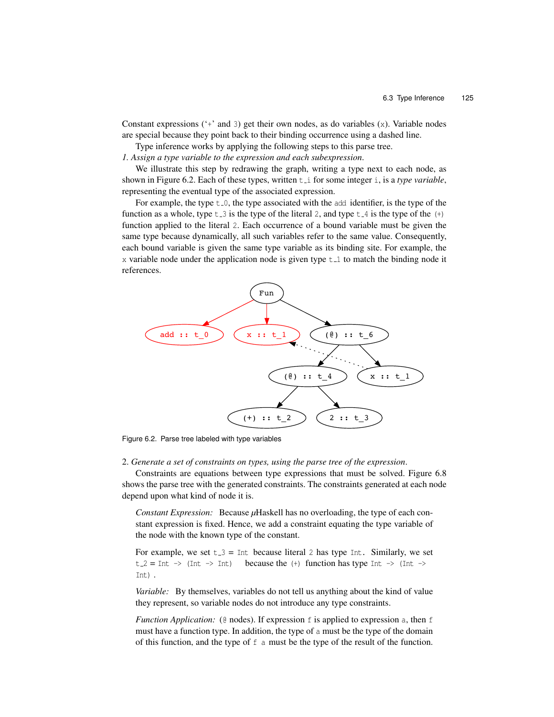Constant expressions  $(4)$  and 3) get their own nodes, as do variables  $(x)$ . Variable nodes are special because they point back to their binding occurrence using a dashed line.

Type inference works by applying the following steps to this parse tree.

*1. Assign a type variable to the expression and each subexpression*.

We illustrate this step by redrawing the graph, writing a type next to each node, as shown in Figure 6.2. Each of these types, written  $t_i$  for some integer i, is a *type variable*, representing the eventual type of the associated expression.

For example, the type  $t = 0$ , the type associated with the add identifier, is the type of the function as a whole, type  $t = 3$  is the type of the literal 2, and type  $t = 4$  is the type of the  $(+)$ function applied to the literal 2. Each occurrence of a bound variable must be given the same type because dynamically, all such variables refer to the same value. Consequently, each bound variable is given the same type variable as its binding site. For example, the  $x$  variable node under the application node is given type  $t_1$  to match the binding node it references.



Figure 6.2. Parse tree labeled with type variables

#### 2. *Generate a set of constraints on types, using the parse tree of the expression*.

Constraints are equations between type expressions that must be solved. Figure 6.8 shows the parse tree with the generated constraints. The constraints generated at each node depend upon what kind of node it is.

*Constant Expression:* Because  $\mu$ Haskell has no overloading, the type of each constant expression is fixed. Hence, we add a constraint equating the type variable of the node with the known type of the constant.

For example, we set  $t = 3 = Int$  because literal 2 has type Int. Similarly, we set  $t - 2 = Int \rightarrow (Int \rightarrow Int)$  because the (+) function has type Int  $\rightarrow$  (Int  $\rightarrow$ Int) .

*Variable:* By themselves, variables do not tell us anything about the kind of value they represent, so variable nodes do not introduce any type constraints.

*Function Application:* (@ nodes). If expression f is applied to expression a, then f must have a function type. In addition, the type of a must be the type of the domain of this function, and the type of f a must be the type of the result of the function.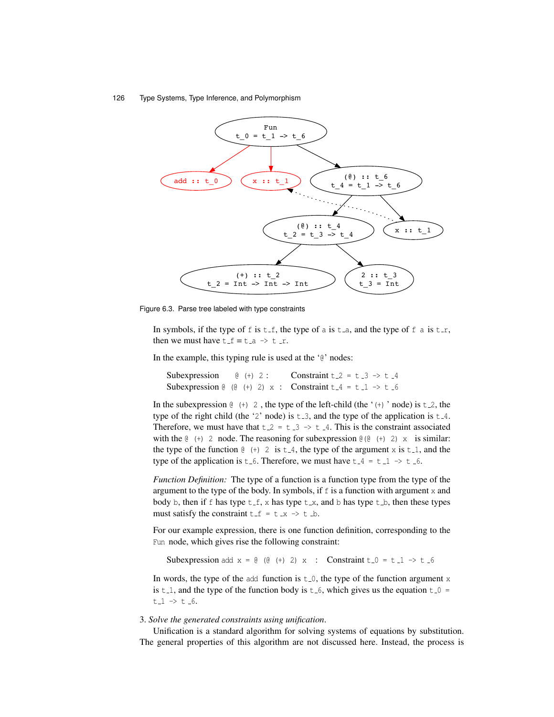

Figure 6.3. Parse tree labeled with type constraints

In symbols, if the type of f is  $t_f$ , the type of a is  $t_a$ , and the type of f a is  $t_f$ , then we must have  $t_f = t_a \rightarrow t_r$ .

In the example, this typing rule is used at the '@' nodes:

Subexpression  $\theta$  (+) 2 : Constraint t  $-2 = t - 3 \rightarrow t - 4$ Subexpression @ (@ (+) 2) x : Constraint  $t - 4 = t - 1 \rightarrow t - 6$ 

In the subexpression  $\ell$  (+) 2, the type of the left-child (the '(+)' node) is t\_2, the type of the right child (the '2' node) is  $t = 3$ , and the type of the application is  $t = 4$ . Therefore, we must have that  $t = 2 = t = 3 \rightarrow t = 4$ . This is the constraint associated with the  $\theta$  (+) 2 node. The reasoning for subexpression  $\theta$  ( $\theta$  (+) 2) x is similar: the type of the function  $\ell$  (+) 2 is t<sub>-4</sub>, the type of the argument x is t<sub>-1</sub>, and the type of the application is  $t_6$ . Therefore, we must have  $t_4 = t_1 > t_6$ .

*Function Definition:* The type of a function is a function type from the type of the argument to the type of the body. In symbols, if  $f$  is a function with argument  $x$  and body b, then if f has type  $t_f$ , x has type  $t_x$ , and b has type  $t_b$ , then these types must satisfy the constraint  $t = t = x \rightarrow t = b$ .

For our example expression, there is one function definition, corresponding to the Fun node, which gives rise the following constraint:

Subexpression add  $x = [e (e (+) 2) x :$  Constraint  $t = 0 = t = 1 \rightarrow t = 6$ 

In words, the type of the add function is  $t = 0$ , the type of the function argument x is  $t = 1$ , and the type of the function body is  $t = 6$ , which gives us the equation  $t = 0$  =  $t - 1 \rightarrow t - 6.$ 

# 3. *Solve the generated constraints using unification*.

Unification is a standard algorithm for solving systems of equations by substitution. The general properties of this algorithm are not discussed here. Instead, the process is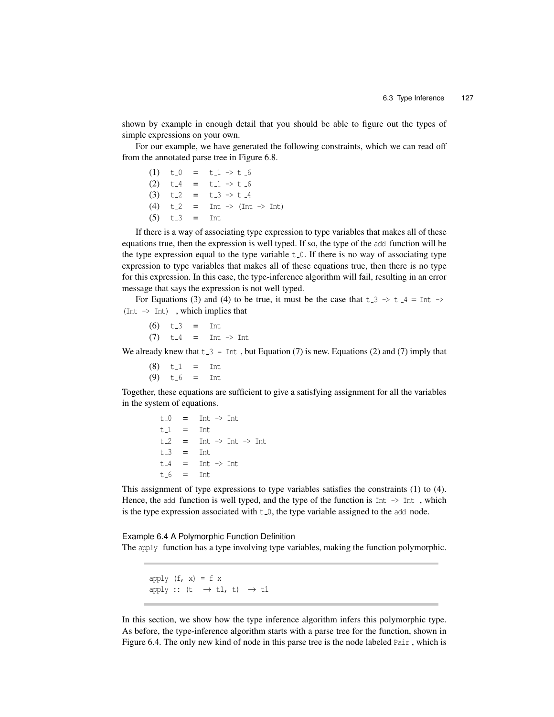shown by example in enough detail that you should be able to figure out the types of simple expressions on your own.

For our example, we have generated the following constraints, which we can read off from the annotated parse tree in Figure 6.8.

|                 | (1) $t_0 = t_1 \rightarrow t_6$                      |
|-----------------|------------------------------------------------------|
|                 | (2) $t-4 = t-1 \rightarrow t-6$                      |
|                 | (3) $t - 2 = t - 3 \rightarrow t - 4$                |
|                 | (4) $t_{-2} = Int \rightarrow (Int \rightarrow Int)$ |
| $(5)$ t_3 = Int |                                                      |

If there is a way of associating type expression to type variables that makes all of these equations true, then the expression is well typed. If so, the type of the add function will be the type expression equal to the type variable  $t_0$ . If there is no way of associating type expression to type variables that makes all of these equations true, then there is no type for this expression. In this case, the type-inference algorithm will fail, resulting in an error message that says the expression is not well typed.

For Equations (3) and (4) to be true, it must be the case that  $t = 3 \rightarrow t = 4 = Int$ (Int  $\rightarrow$  Int), which implies that

 $(6)$  t  $-3$  = Int (7)  $t - 4 = Int \rightarrow Int$ 

We already knew that  $t = 3 = Int$ , but Equation (7) is new. Equations (2) and (7) imply that

 $(8)$  t<sub>-1</sub> = Int (9)  $t = 6 = \text{Int}$ 

Together, these equations are sufficient to give a satisfying assignment for all the variables in the system of equations.

```
t_0 = Int \rightarrow Intt_1 = Intt - 2 = Int \rightarrow Int \rightarrow Intt - 3 = Intt - 4 = Int \rightarrow Intt_6 = Int
```
This assignment of type expressions to type variables satisfies the constraints (1) to (4). Hence, the add function is well typed, and the type of the function is  $Int \rightarrow Int$ , which is the type expression associated with  $t_0$ , the type variable assigned to the add node.

Example 6.4 A Polymorphic Function Definition The apply function has a type involving type variables, making the function polymorphic.

apply  $(f, x) = f x$ apply :: (t *→* t1, t) *→* t1

In this section, we show how the type inference algorithm infers this polymorphic type. As before, the type-inference algorithm starts with a parse tree for the function, shown in Figure 6.4. The only new kind of node in this parse tree is the node labeled Pair , which is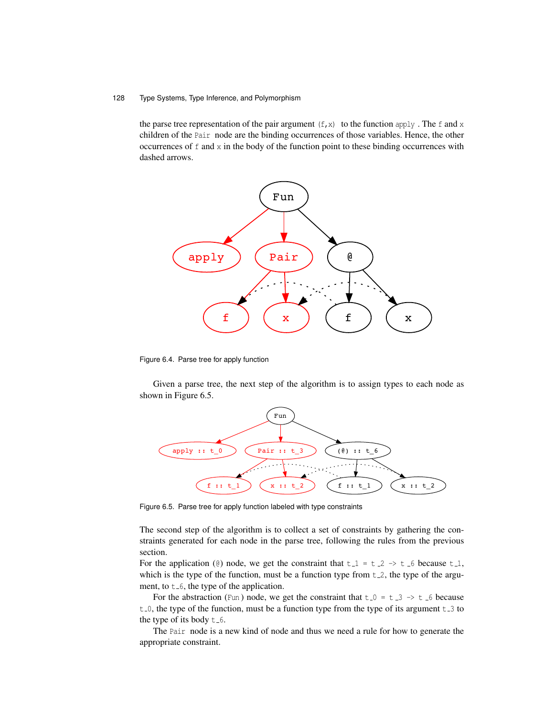the parse tree representation of the pair argument  $(f, x)$  to the function apply . The f and x children of the Pair node are the binding occurrences of those variables. Hence, the other occurrences of  $f$  and  $x$  in the body of the function point to these binding occurrences with dashed arrows.



Figure 6.4. Parse tree for apply function

Given a parse tree, the next step of the algorithm is to assign types to each node as shown in Figure 6.5.



Figure 6.5. Parse tree for apply function labeled with type constraints

The second step of the algorithm is to collect a set of constraints by gathering the constraints generated for each node in the parse tree, following the rules from the previous section.

For the application ( $\theta$ ) node, we get the constraint that t\_1 = t\_2 -> t\_6 because t\_1, which is the type of the function, must be a function type from  $t = 2$ , the type of the argument, to  $t = 6$ , the type of the application.

For the abstraction (Fun) node, we get the constraint that  $t = 0 = t = 3 \rightarrow t = 6$  because  $t = 0$ , the type of the function, must be a function type from the type of its argument  $t = 3$  to the type of its body  $t_6$ .

The Pair node is a new kind of node and thus we need a rule for how to generate the appropriate constraint.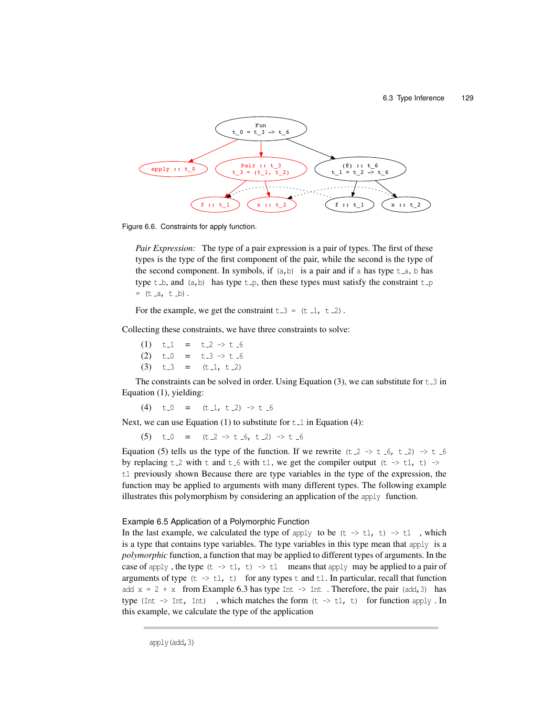

Figure 6.6. Constraints for apply function.

*Pair Expression:* The type of a pair expression is a pair of types. The first of these types is the type of the first component of the pair, while the second is the type of the second component. In symbols, if  $(a, b)$  is a pair and if a has type  $t = a$ , b has type t b, and  $(a,b)$  has type t p, then these types must satisfy the constraint t p  $=$   $(t - a, t - b)$ .

For the example, we get the constraint  $t = 3 = (t - 1, t - 2)$ .

Collecting these constraints, we have three constraints to solve:

(1)  $t-1 = t-2 \rightarrow t-6$ (2)  $t_0 = t_3 \rightarrow t_6$ (3)  $t = 3 = (t = 1, t = 2)$ 

The constraints can be solved in order. Using Equation (3), we can substitute for  $t = 3$  in Equation (1), yielding:

(4) t\_0 = (t\_1, t\_2) 
$$
\rightarrow
$$
 t\_6

Next, we can use Equation (1) to substitute for  $t_1$  in Equation (4):

(5) t  $0 =$  (t  $2 \rightarrow$  t  $-6$ , t  $-2$ )  $\rightarrow$  t  $-6$ 

Equation (5) tells us the type of the function. If we rewrite (t  $-2 \rightarrow t - 6$ , t  $-2$ )  $\rightarrow t - 6$ by replacing t 2 with t and t 6 with t1, we get the compiler output  $(t \rightarrow t1, t) \rightarrow$ t1 previously shown Because there are type variables in the type of the expression, the function may be applied to arguments with many different types. The following example illustrates this polymorphism by considering an application of the apply function.

## Example 6.5 Application of a Polymorphic Function

In the last example, we calculated the type of apply to be  $(t \rightarrow t1, t) \rightarrow t1$ , which is a type that contains type variables. The type variables in this type mean that apply is a *polymorphic* function, a function that may be applied to different types of arguments. In the case of apply, the type  $(t \rightarrow t1, t) \rightarrow t1$  means that apply may be applied to a pair of arguments of type  $(t \rightarrow t)$ ,  $(t)$  for any types t and t1. In particular, recall that function add  $x = 2 + x$  from Example 6.3 has type Int  $\rightarrow$  Int . Therefore, the pair (add, 3) has type (Int  $\rightarrow$  Int, Int), which matches the form (t  $\rightarrow$  t1, t) for function apply. In this example, we calculate the type of the application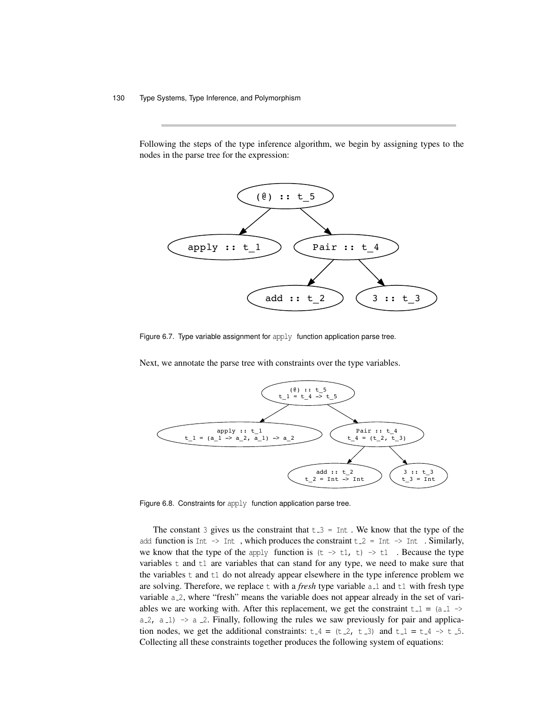Following the steps of the type inference algorithm, we begin by assigning types to the nodes in the parse tree for the expression:



Figure 6.7. Type variable assignment for apply function application parse tree.

Next, we annotate the parse tree with constraints over the type variables.



Figure 6.8. Constraints for apply function application parse tree.

The constant 3 gives us the constraint that  $t = 3 = Int$ . We know that the type of the add function is Int  $\rightarrow$  Int, which produces the constraint  $t - 2 = Int \rightarrow Int$ . Similarly, we know that the type of the apply function is  $(t \rightarrow t1, t) \rightarrow t1$ . Because the type variables t and t1 are variables that can stand for any type, we need to make sure that the variables t and t1 do not already appear elsewhere in the type inference problem we are solving. Therefore, we replace t with a *fresh* type variable a 1 and t1 with fresh type variable a 2, where "fresh" means the variable does not appear already in the set of variables we are working with. After this replacement, we get the constraint  $t-1 = (a-1 \rightarrow$  $a_2$ ,  $a_1$ )  $\rightarrow$  a  $a_2$ . Finally, following the rules we saw previously for pair and application nodes, we get the additional constraints:  $t = 4 = (t - 2, t - 3)$  and  $t = 1 = t - 4 \rightarrow t - 5$ . Collecting all these constraints together produces the following system of equations: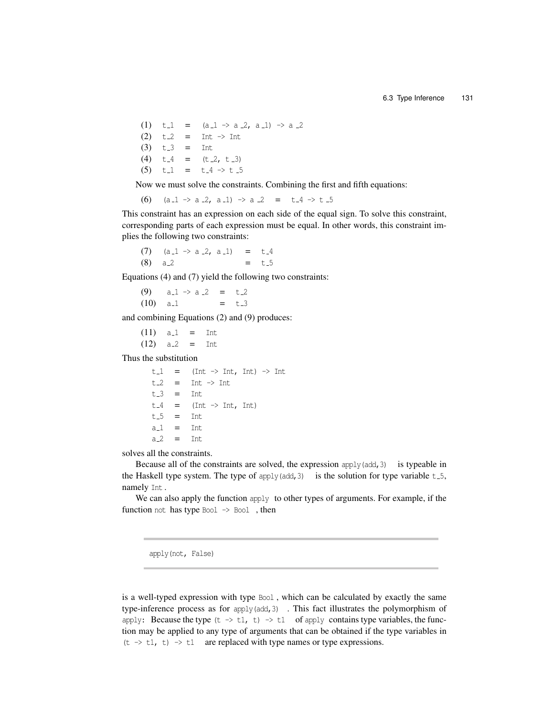(1)  $t - 1 = (a - 1) - a - 2, a - 1) - a - 2$ (2)  $t - 2 = Int \rightarrow Int$  $(3)$  t  $-3$  = Int (4)  $t = 4 = (t = 2, t = 3)$ (5)  $t-1 = t-4 \rightarrow t-5$ 

Now we must solve the constraints. Combining the first and fifth equations:

(6) (a  $1 \rightarrow a \, 2$ , a  $1 \rightarrow a \, 2$  = t  $4 \rightarrow t \, 5$ 

This constraint has an expression on each side of the equal sign. To solve this constraint, corresponding parts of each expression must be equal. In other words, this constraint implies the following two constraints:

(7)  $(a-1 \rightarrow a-2, a-1) = t-4$ (8)  $a_{-2}$  =  $t_{-5}$ 

Equations (4) and (7) yield the following two constraints:

(9)  $a-1 \rightarrow a-2 = t-2$  $(10)$  a 1 = t 3

and combining Equations (2) and (9) produces:

 $(11)$  a<sub>-1</sub> = Int  $(12)$  a 2 = Int

Thus the substitution

 $t_1 = (Int \rightarrow Int, Int) \rightarrow Int$  $t - 2 = Int \rightarrow Int$  $t - 3 = Int$  $t_4 = (Int \rightarrow Int, Int)$  $t - 5 = Int$  $a_1 = Int$  $a_2$  = Int

solves all the constraints.

Because all of the constraints are solved, the expression apply( $\text{add}, 3$ ) is typeable in the Haskell type system. The type of apply (add, 3) is the solution for type variable  $t = 5$ , namely Int .

We can also apply the function apply to other types of arguments. For example, if the function not has type  $Bool \rightarrow Bool$ , then

apply(not, False)

is a well-typed expression with type Bool , which can be calculated by exactly the same type-inference process as for apply(add,3) . This fact illustrates the polymorphism of apply: Because the type  $(t \rightarrow t1, t) \rightarrow t1$  of apply contains type variables, the function may be applied to any type of arguments that can be obtained if the type variables in  $(t \rightarrow t1, t) \rightarrow t1$  are replaced with type names or type expressions.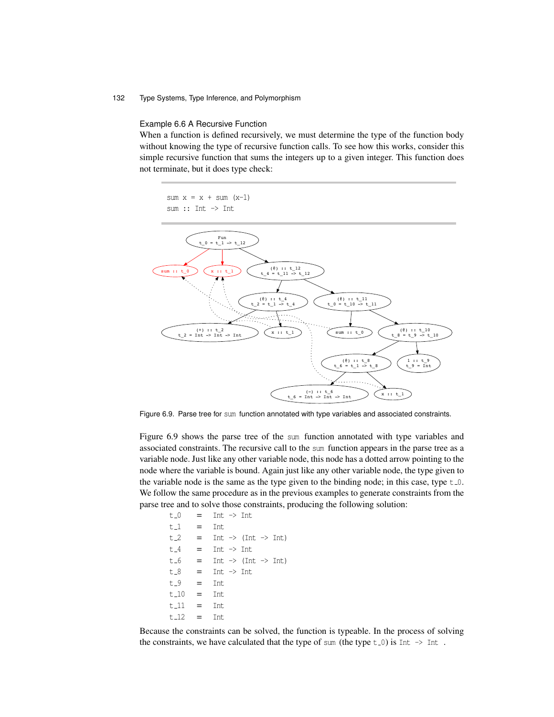#### Example 6.6 A Recursive Function

When a function is defined recursively, we must determine the type of the function body without knowing the type of recursive function calls. To see how this works, consider this simple recursive function that sums the integers up to a given integer. This function does not terminate, but it does type check:

sum  $x = x + sum (x-1)$ sum :: Int -> Int



Figure 6.9. Parse tree for sum function annotated with type variables and associated constraints.

Figure 6.9 shows the parse tree of the sum function annotated with type variables and associated constraints. The recursive call to the sum function appears in the parse tree as a variable node. Just like any other variable node, this node has a dotted arrow pointing to the node where the variable is bound. Again just like any other variable node, the type given to the variable node is the same as the type given to the binding node; in this case, type  $t = 0$ . We follow the same procedure as in the previous examples to generate constraints from the parse tree and to solve those constraints, producing the following solution:

 $t_0 = Int$  -> Int  $t_1 = Int$  $t_{-2}$  = Int -> (Int -> Int)  $t - 4 = Int \rightarrow Int$  $t = 6$  = Int -> (Int -> Int)  $t = 8$  = Int -> Int  $t_9 = Int$  $t_1 = \text{Int}$  $t_1 = \text{Int}$  $t_12 = Int$ 

Because the constraints can be solved, the function is typeable. In the process of solving the constraints, we have calculated that the type of sum (the type  $t = 0$ ) is Int  $\rightarrow$  Int.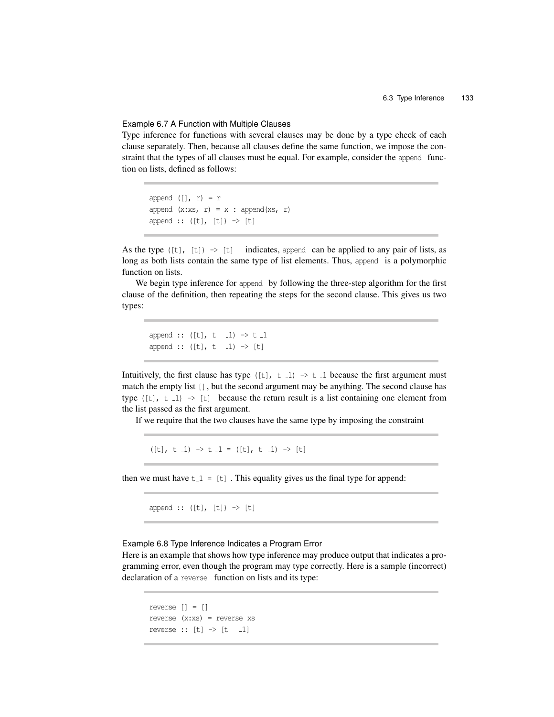## Example 6.7 A Function with Multiple Clauses

Type inference for functions with several clauses may be done by a type check of each clause separately. Then, because all clauses define the same function, we impose the constraint that the types of all clauses must be equal. For example, consider the append function on lists, defined as follows:

```
append ([, r) = rappend (x:xs, r) = x : append(xs, r)append :: ([t], [t]) \rightarrow [t]
```
As the type  $([t], [t]) \rightarrow [t]$  indicates, append can be applied to any pair of lists, as long as both lists contain the same type of list elements. Thus, append is a polymorphic function on lists.

We begin type inference for append by following the three-step algorithm for the first clause of the definition, then repeating the steps for the second clause. This gives us two types:

```
append :: ([t], t \quad 1) \rightarrow t \quad 1append :: (|t|, t \quad 1) \rightarrow |t|
```
Intuitively, the first clause has type ([t], t  $-1$ )  $\rightarrow$  t  $-1$  because the first argument must match the empty list [] , but the second argument may be anything. The second clause has type  $([t], t] \rightarrow [t]$  because the return result is a list containing one element from the list passed as the first argument.

If we require that the two clauses have the same type by imposing the constraint

 $([t], t] \rightarrow t \quad 1 = ([t], t \quad 1) \rightarrow [t]$ 

then we must have  $t_1 = [t]$ . This equality gives us the final type for append:

append :: ([t], [t]) -> [t]

#### Example 6.8 Type Inference Indicates a Program Error

Here is an example that shows how type inference may produce output that indicates a programming error, even though the program may type correctly. Here is a sample (incorrect) declaration of a reverse function on lists and its type:

```
reverse [] = []
reverse (x:xs) = reverse xs
reverse :: [t] \rightarrow [t \quad 1]
```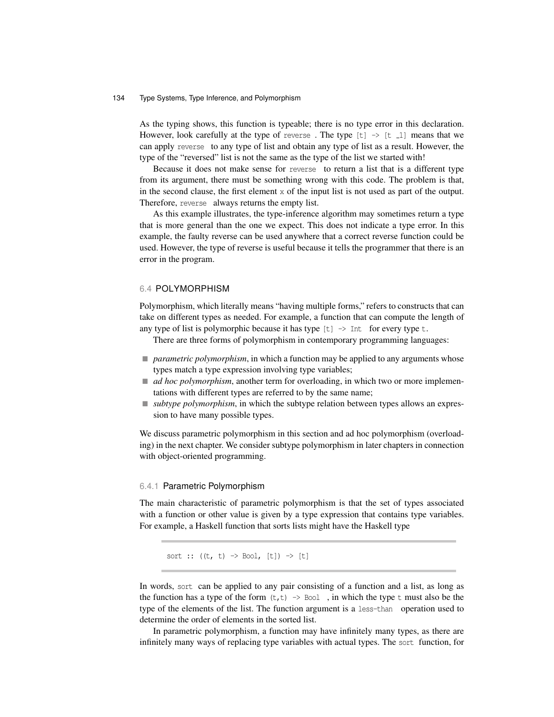As the typing shows, this function is typeable; there is no type error in this declaration. However, look carefully at the type of reverse. The type  $[t] \rightarrow [t \ 1]$  means that we can apply reverse to any type of list and obtain any type of list as a result. However, the type of the "reversed" list is not the same as the type of the list we started with!

Because it does not make sense for reverse to return a list that is a different type from its argument, there must be something wrong with this code. The problem is that, in the second clause, the first element  $x$  of the input list is not used as part of the output. Therefore, reverse always returns the empty list.

As this example illustrates, the type-inference algorithm may sometimes return a type that is more general than the one we expect. This does not indicate a type error. In this example, the faulty reverse can be used anywhere that a correct reverse function could be used. However, the type of reverse is useful because it tells the programmer that there is an error in the program.

## 6.4 POLYMORPHISM

Polymorphism, which literally means "having multiple forms," refers to constructs that can take on different types as needed. For example, a function that can compute the length of any type of list is polymorphic because it has type  $[t] \rightarrow \text{Int}$  for every type t.

There are three forms of polymorphism in contemporary programming languages:

- *parametric polymorphism*, in which a function may be applied to any arguments whose types match a type expression involving type variables;
- *ad hoc polymorphism*, another term for overloading, in which two or more implementations with different types are referred to by the same name;
- *subtype polymorphism*, in which the subtype relation between types allows an expression to have many possible types.

We discuss parametric polymorphism in this section and ad hoc polymorphism (overloading) in the next chapter. We consider subtype polymorphism in later chapters in connection with object-oriented programming.

#### 6.4.1 Parametric Polymorphism

The main characteristic of parametric polymorphism is that the set of types associated with a function or other value is given by a type expression that contains type variables. For example, a Haskell function that sorts lists might have the Haskell type

sort ::  $((t, t) \rightarrow \text{Bool}, [t]) \rightarrow [t]$ 

In words, sort can be applied to any pair consisting of a function and a list, as long as the function has a type of the form  $(t,t) \rightarrow$  Bool, in which the type t must also be the type of the elements of the list. The function argument is a less-than operation used to determine the order of elements in the sorted list.

In parametric polymorphism, a function may have infinitely many types, as there are infinitely many ways of replacing type variables with actual types. The sort function, for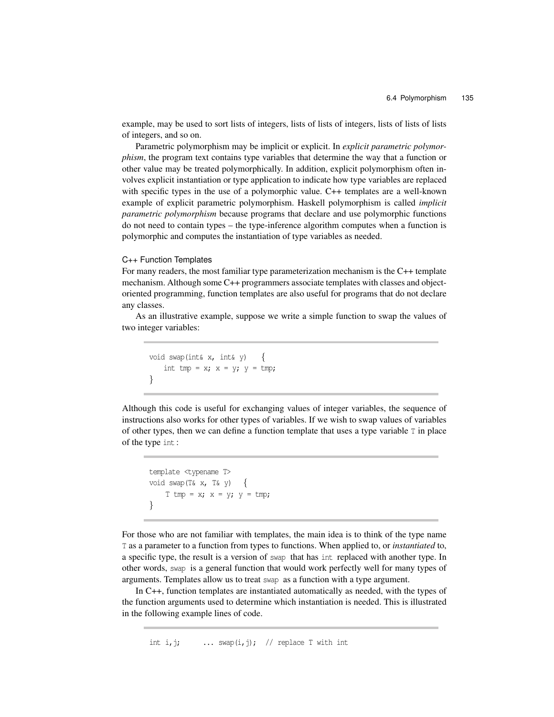example, may be used to sort lists of integers, lists of lists of integers, lists of lists of lists of integers, and so on.

Parametric polymorphism may be implicit or explicit. In *explicit parametric polymorphism*, the program text contains type variables that determine the way that a function or other value may be treated polymorphically. In addition, explicit polymorphism often involves explicit instantiation or type application to indicate how type variables are replaced with specific types in the use of a polymorphic value. C++ templates are a well-known example of explicit parametric polymorphism. Haskell polymorphism is called *implicit parametric polymorphism* because programs that declare and use polymorphic functions do not need to contain types – the type-inference algorithm computes when a function is polymorphic and computes the instantiation of type variables as needed.

## C++ Function Templates

For many readers, the most familiar type parameterization mechanism is the C++ template mechanism. Although some C++ programmers associate templates with classes and objectoriented programming, function templates are also useful for programs that do not declare any classes.

As an illustrative example, suppose we write a simple function to swap the values of two integer variables:

$$
\begin{array}{ll}\n\text{void swap(int&x, int&y) & {\{} \\
\text{int tmp} = x; x = y; y = tmp;\n}\n\end{array}
$$

Although this code is useful for exchanging values of integer variables, the sequence of instructions also works for other types of variables. If we wish to swap values of variables of other types, then we can define a function template that uses a type variable  $T$  in place of the type int :

```
template <typename T>
void swap(T& x, T& y) {
    T tmp = x; x = y; y = \text{tmp};
}
```
For those who are not familiar with templates, the main idea is to think of the type name T as a parameter to a function from types to functions. When applied to, or *instantiated* to, a specific type, the result is a version of swap that has int replaced with another type. In other words, swap is a general function that would work perfectly well for many types of arguments. Templates allow us to treat swap as a function with a type argument.

In C++, function templates are instantiated automatically as needed, with the types of the function arguments used to determine which instantiation is needed. This is illustrated in the following example lines of code.

int i, j;  $\ldots$  swap(i, j); // replace T with int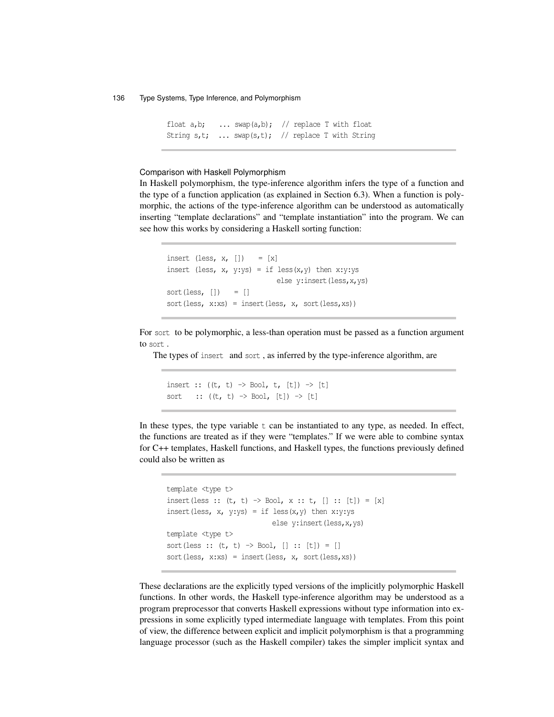float a,b; ... swap(a,b); // replace T with float String s,t; ... swap(s,t); // replace T with String

Comparison with Haskell Polymorphism

In Haskell polymorphism, the type-inference algorithm infers the type of a function and the type of a function application (as explained in Section 6.3). When a function is polymorphic, the actions of the type-inference algorithm can be understood as automatically inserting "template declarations" and "template instantiation" into the program. We can see how this works by considering a Haskell sorting function:

```
insert (less, x, []) = [x]insert (less, x, y:ys) = if less(x, y) then x:yselse y:insert(less,x,ys)
sort(less, []) = []sort(less, x:xs) = insert(less, x, sort(less, xs))
```
For sort to be polymorphic, a less-than operation must be passed as a function argument to sort .

The types of insert and sort , as inferred by the type-inference algorithm, are

insert ::  $((t, t) \rightarrow \text{Bool}, t, [t]) \rightarrow [t]$ sort ::  $((t, t) \rightarrow \text{Bool}, [t]) \rightarrow [t]$ 

In these types, the type variable t can be instantiated to any type, as needed. In effect, the functions are treated as if they were "templates." If we were able to combine syntax for C++ templates, Haskell functions, and Haskell types, the functions previously defined could also be written as

```
template <type t>
insert(less :: (t, t) \rightarrow Bool, x :: t, [] :: [t]) = [x]
insert(less, x, y:ys) = if less(x,y) then x:y:ys
                             else y: insert (less, x, ys)
template <type t>
sort(less :: (t, t) \rightarrow Bool, [] :: [t]) = []sort(less, x:xs) = insert(less, x, sort(less, xs))
```
These declarations are the explicitly typed versions of the implicitly polymorphic Haskell functions. In other words, the Haskell type-inference algorithm may be understood as a program preprocessor that converts Haskell expressions without type information into expressions in some explicitly typed intermediate language with templates. From this point of view, the difference between explicit and implicit polymorphism is that a programming language processor (such as the Haskell compiler) takes the simpler implicit syntax and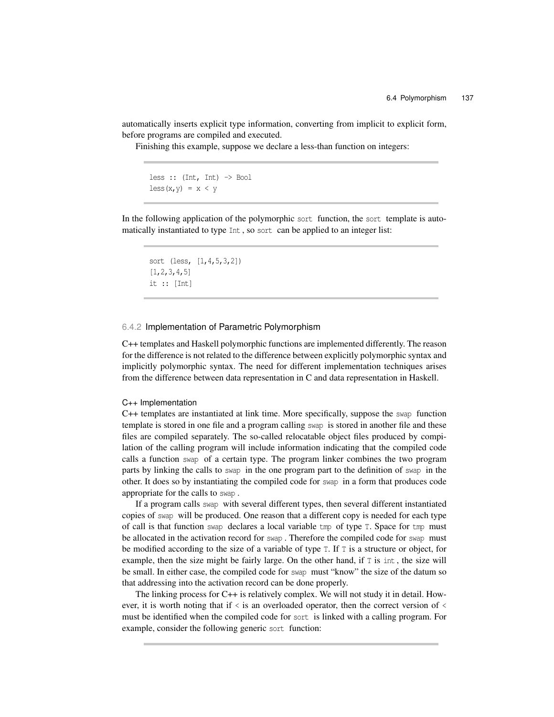automatically inserts explicit type information, converting from implicit to explicit form, before programs are compiled and executed.

Finishing this example, suppose we declare a less-than function on integers:

```
less :: (int, Int) \rightarrow Boolless(x,y) = x < y
```
In the following application of the polymorphic sort function, the sort template is automatically instantiated to type Int , so sort can be applied to an integer list:

```
sort (less, [1,4,5,3,2])
[1, 2, 3, 4, 5]it :: [Int]
```
#### 6.4.2 Implementation of Parametric Polymorphism

C++ templates and Haskell polymorphic functions are implemented differently. The reason for the difference is not related to the difference between explicitly polymorphic syntax and implicitly polymorphic syntax. The need for different implementation techniques arises from the difference between data representation in C and data representation in Haskell.

#### C++ Implementation

C++ templates are instantiated at link time. More specifically, suppose the swap function template is stored in one file and a program calling swap is stored in another file and these files are compiled separately. The so-called relocatable object files produced by compilation of the calling program will include information indicating that the compiled code calls a function swap of a certain type. The program linker combines the two program parts by linking the calls to swap in the one program part to the definition of swap in the other. It does so by instantiating the compiled code for swap in a form that produces code appropriate for the calls to swap .

If a program calls swap with several different types, then several different instantiated copies of swap will be produced. One reason that a different copy is needed for each type of call is that function swap declares a local variable tmp of type T. Space for tmp must be allocated in the activation record for swap . Therefore the compiled code for swap must be modified according to the size of a variable of type  $T$ . If  $T$  is a structure or object, for example, then the size might be fairly large. On the other hand, if  $T$  is int, the size will be small. In either case, the compiled code for swap must "know" the size of the datum so that addressing into the activation record can be done properly.

The linking process for  $C++$  is relatively complex. We will not study it in detail. However, it is worth noting that if  $\lt$  is an overloaded operator, then the correct version of  $\lt$ must be identified when the compiled code for sort is linked with a calling program. For example, consider the following generic sort function: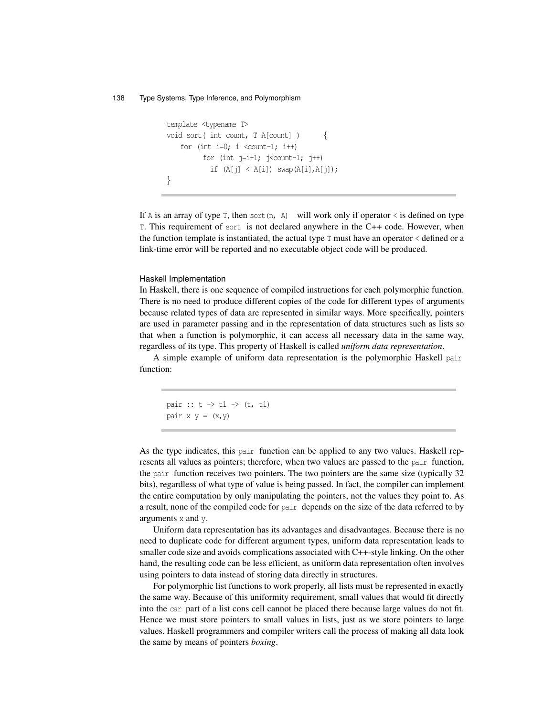```
template <typename T>
void sort( int count, T A[count] ) {
   for (int i=0; i \le count-1; i++)
         for (int i=i+1; i<count-1; i++)
           if (A[j] < A[i]) swap(A[i], A[j]);
}
```
If A is an array of type T, then sort  $(n, A)$  will work only if operator  $\lt$  is defined on type T. This requirement of sort is not declared anywhere in the C++ code. However, when the function template is instantiated, the actual type  $T$  must have an operator  $\leq$  defined or a link-time error will be reported and no executable object code will be produced.

#### Haskell Implementation

In Haskell, there is one sequence of compiled instructions for each polymorphic function. There is no need to produce different copies of the code for different types of arguments because related types of data are represented in similar ways. More specifically, pointers are used in parameter passing and in the representation of data structures such as lists so that when a function is polymorphic, it can access all necessary data in the same way, regardless of its type. This property of Haskell is called *uniform data representation*.

A simple example of uniform data representation is the polymorphic Haskell pair function:

pair ::  $t \to t1 \to (t, t1)$ pair  $x y = (x, y)$ 

As the type indicates, this pair function can be applied to any two values. Haskell represents all values as pointers; therefore, when two values are passed to the pair function, the pair function receives two pointers. The two pointers are the same size (typically 32 bits), regardless of what type of value is being passed. In fact, the compiler can implement the entire computation by only manipulating the pointers, not the values they point to. As a result, none of the compiled code for pair depends on the size of the data referred to by arguments x and y.

Uniform data representation has its advantages and disadvantages. Because there is no need to duplicate code for different argument types, uniform data representation leads to smaller code size and avoids complications associated with C++-style linking. On the other hand, the resulting code can be less efficient, as uniform data representation often involves using pointers to data instead of storing data directly in structures.

For polymorphic list functions to work properly, all lists must be represented in exactly the same way. Because of this uniformity requirement, small values that would fit directly into the car part of a list cons cell cannot be placed there because large values do not fit. Hence we must store pointers to small values in lists, just as we store pointers to large values. Haskell programmers and compiler writers call the process of making all data look the same by means of pointers *boxing*.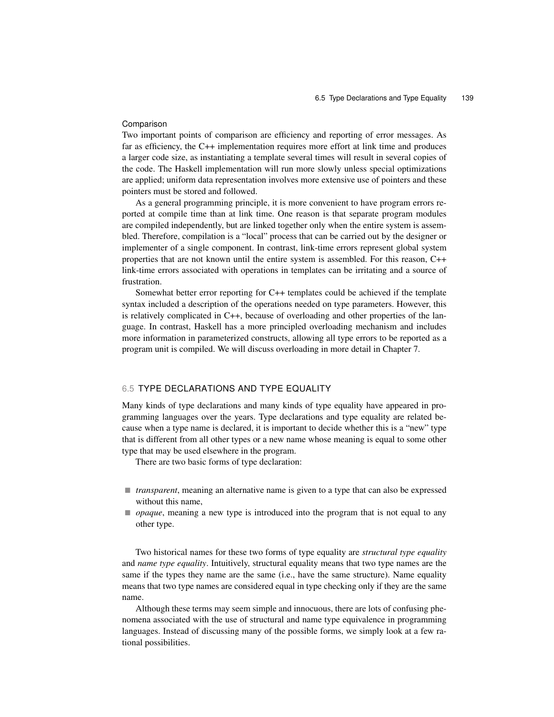## Comparison

Two important points of comparison are efficiency and reporting of error messages. As far as efficiency, the C++ implementation requires more effort at link time and produces a larger code size, as instantiating a template several times will result in several copies of the code. The Haskell implementation will run more slowly unless special optimizations are applied; uniform data representation involves more extensive use of pointers and these pointers must be stored and followed.

As a general programming principle, it is more convenient to have program errors reported at compile time than at link time. One reason is that separate program modules are compiled independently, but are linked together only when the entire system is assembled. Therefore, compilation is a "local" process that can be carried out by the designer or implementer of a single component. In contrast, link-time errors represent global system properties that are not known until the entire system is assembled. For this reason, C++ link-time errors associated with operations in templates can be irritating and a source of frustration.

Somewhat better error reporting for C++ templates could be achieved if the template syntax included a description of the operations needed on type parameters. However, this is relatively complicated in  $C_{++}$ , because of overloading and other properties of the language. In contrast, Haskell has a more principled overloading mechanism and includes more information in parameterized constructs, allowing all type errors to be reported as a program unit is compiled. We will discuss overloading in more detail in Chapter 7.

# 6.5 TYPE DECLARATIONS AND TYPE EQUALITY

Many kinds of type declarations and many kinds of type equality have appeared in programming languages over the years. Type declarations and type equality are related because when a type name is declared, it is important to decide whether this is a "new" type that is different from all other types or a new name whose meaning is equal to some other type that may be used elsewhere in the program.

There are two basic forms of type declaration:

- *transparent*, meaning an alternative name is given to a type that can also be expressed without this name,
- *opaque*, meaning a new type is introduced into the program that is not equal to any other type.

Two historical names for these two forms of type equality are *structural type equality* and *name type equality*. Intuitively, structural equality means that two type names are the same if the types they name are the same (i.e., have the same structure). Name equality means that two type names are considered equal in type checking only if they are the same name.

Although these terms may seem simple and innocuous, there are lots of confusing phenomena associated with the use of structural and name type equivalence in programming languages. Instead of discussing many of the possible forms, we simply look at a few rational possibilities.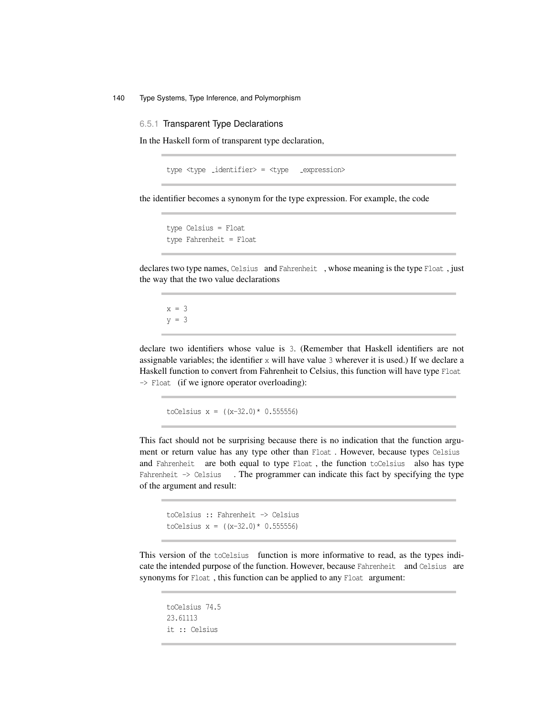6.5.1 Transparent Type Declarations

In the Haskell form of transparent type declaration,

type <type \_identifier> = <type \_expression>

the identifier becomes a synonym for the type expression. For example, the code

```
type Celsius = Float
type Fahrenheit = Float
```
declares two type names, Celsius and Fahrenheit , whose meaning is the type Float , just the way that the two value declarations

 $x = 3$  $y = 3$ 

declare two identifiers whose value is 3. (Remember that Haskell identifiers are not assignable variables; the identifier  $x$  will have value 3 wherever it is used.) If we declare a Haskell function to convert from Fahrenheit to Celsius, this function will have type Float -> Float (if we ignore operator overloading):

toCelsius  $x = ((x-32.0) * 0.555556)$ 

This fact should not be surprising because there is no indication that the function argument or return value has any type other than Float . However, because types Celsius and Fahrenheit are both equal to type Float , the function toCelsius also has type Fahrenheit  $\rightarrow$  Celsius . The programmer can indicate this fact by specifying the type of the argument and result:

```
toCelsius :: Fahrenheit -> Celsius
toCelsius x = ((x-32.0) * 0.555556)
```
This version of the toCelsius function is more informative to read, as the types indicate the intended purpose of the function. However, because Fahrenheit and Celsius are synonyms for Float, this function can be applied to any Float argument:

```
toCelsius 74.5
23.61113
it :: Celsius
```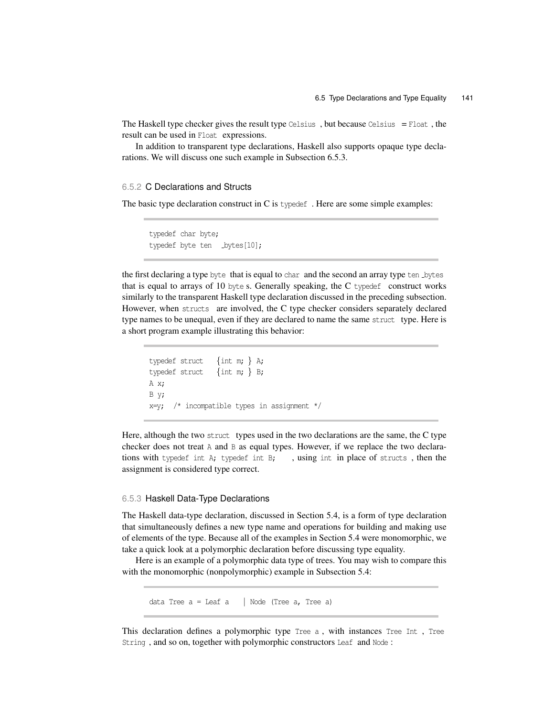The Haskell type checker gives the result type Celsius , but because Celsius  $=$  Float, the result can be used in Float expressions.

In addition to transparent type declarations, Haskell also supports opaque type declarations. We will discuss one such example in Subsection 6.5.3.

#### 6.5.2 C Declarations and Structs

The basic type declaration construct in  $C$  is typedef. Here are some simple examples:

typedef char byte; typedef byte ten \_bytes[10];

the first declaring a type byte that is equal to char and the second an array type ten bytes that is equal to arrays of 10 byte s. Generally speaking, the  $C$  typedef construct works similarly to the transparent Haskell type declaration discussed in the preceding subsection. However, when structs are involved, the C type checker considers separately declared type names to be unequal, even if they are declared to name the same struct type. Here is a short program example illustrating this behavior:

```
typedef struct {int m; } A;
typedef struct {int m; } B;
A x;
B y;
x=y; /* incompatible types in assignment */
```
Here, although the two struct types used in the two declarations are the same, the C type checker does not treat A and B as equal types. However, if we replace the two declarations with typedef int A; typedef int B; , using int in place of structs, then the assignment is considered type correct.

#### 6.5.3 Haskell Data-Type Declarations

The Haskell data-type declaration, discussed in Section 5.4, is a form of type declaration that simultaneously defines a new type name and operations for building and making use of elements of the type. Because all of the examples in Section 5.4 were monomorphic, we take a quick look at a polymorphic declaration before discussing type equality.

Here is an example of a polymorphic data type of trees. You may wish to compare this with the monomorphic (nonpolymorphic) example in Subsection 5.4:

data Tree a = Leaf a *|* Node (Tree a, Tree a)

This declaration defines a polymorphic type Tree a , with instances Tree Int , Tree String , and so on, together with polymorphic constructors Leaf and Node :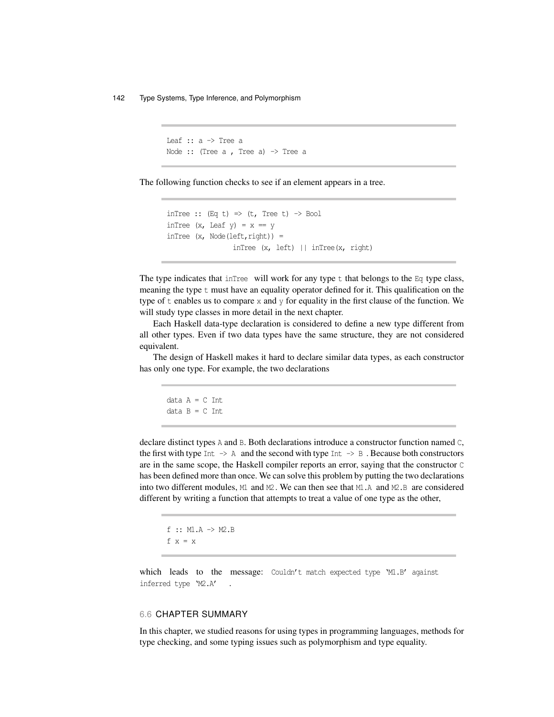```
Leaf :: a \rightarrow Tree a
Node :: (Tree a, Tree a) \rightarrow Tree a
```
The following function checks to see if an element appears in a tree.

```
inTree :: (Eq t) \Rightarrow (t, Tree t) \Rightarrow Bool
inTree (x, \text{Leaf } y) = x = yinTree (x, Node(left, right)) =inTree (x, left) || inTree(x, right)
```
The type indicates that inTree will work for any type  $t$  that belongs to the Eq type class, meaning the type t must have an equality operator defined for it. This qualification on the type of  $t$  enables us to compare x and y for equality in the first clause of the function. We will study type classes in more detail in the next chapter.

Each Haskell data-type declaration is considered to define a new type different from all other types. Even if two data types have the same structure, they are not considered equivalent.

The design of Haskell makes it hard to declare similar data types, as each constructor has only one type. For example, the two declarations

```
data A = C Int
data B = C Int
```
declare distinct types A and B. Both declarations introduce a constructor function named  $C$ , the first with type Int  $\rightarrow$  A and the second with type Int  $\rightarrow$  B. Because both constructors are in the same scope, the Haskell compiler reports an error, saying that the constructor C has been defined more than once. We can solve this problem by putting the two declarations into two different modules,  $M_1$  and  $M_2$ . We can then see that  $M_1$ . A and  $M_2$ . B are considered different by writing a function that attempts to treat a value of one type as the other,

f :: M1.A -> M2.B f  $x = x$ 

which leads to the message: Couldn't match expected type 'M1.B' against inferred type 'M2.A' .

## 6.6 CHAPTER SUMMARY

In this chapter, we studied reasons for using types in programming languages, methods for type checking, and some typing issues such as polymorphism and type equality.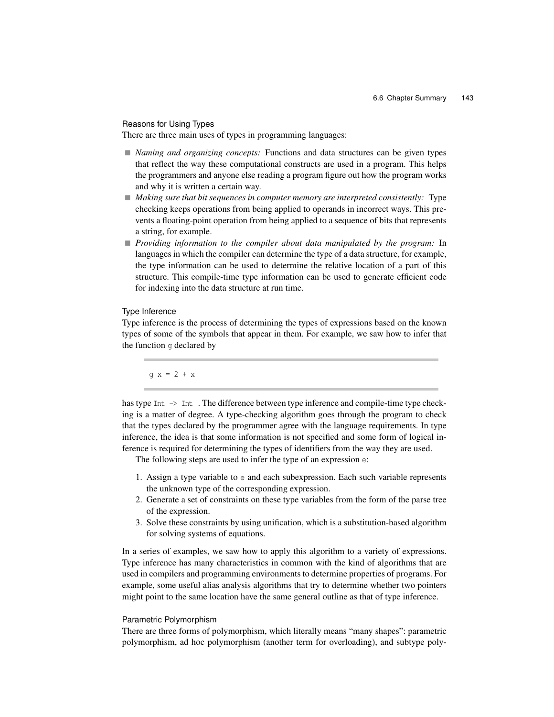## Reasons for Using Types

There are three main uses of types in programming languages:

- *Naming and organizing concepts:* Functions and data structures can be given types that reflect the way these computational constructs are used in a program. This helps the programmers and anyone else reading a program figure out how the program works and why it is written a certain way.
- *Making sure that bit sequences in computer memory are interpreted consistently:* Type checking keeps operations from being applied to operands in incorrect ways. This prevents a floating-point operation from being applied to a sequence of bits that represents a string, for example.
- *Providing information to the compiler about data manipulated by the program:* In languages in which the compiler can determine the type of a data structure, for example, the type information can be used to determine the relative location of a part of this structure. This compile-time type information can be used to generate efficient code for indexing into the data structure at run time.

# Type Inference

Type inference is the process of determining the types of expressions based on the known types of some of the symbols that appear in them. For example, we saw how to infer that the function g declared by

 $g x = 2 + x$ 

has type Int  $\rightarrow$  Int . The difference between type inference and compile-time type checking is a matter of degree. A type-checking algorithm goes through the program to check that the types declared by the programmer agree with the language requirements. In type inference, the idea is that some information is not specified and some form of logical inference is required for determining the types of identifiers from the way they are used.

The following steps are used to infer the type of an expression e:

- 1. Assign a type variable to e and each subexpression. Each such variable represents the unknown type of the corresponding expression.
- 2. Generate a set of constraints on these type variables from the form of the parse tree of the expression.
- 3. Solve these constraints by using unification, which is a substitution-based algorithm for solving systems of equations.

In a series of examples, we saw how to apply this algorithm to a variety of expressions. Type inference has many characteristics in common with the kind of algorithms that are used in compilers and programming environments to determine properties of programs. For example, some useful alias analysis algorithms that try to determine whether two pointers might point to the same location have the same general outline as that of type inference.

## Parametric Polymorphism

There are three forms of polymorphism, which literally means "many shapes": parametric polymorphism, ad hoc polymorphism (another term for overloading), and subtype poly-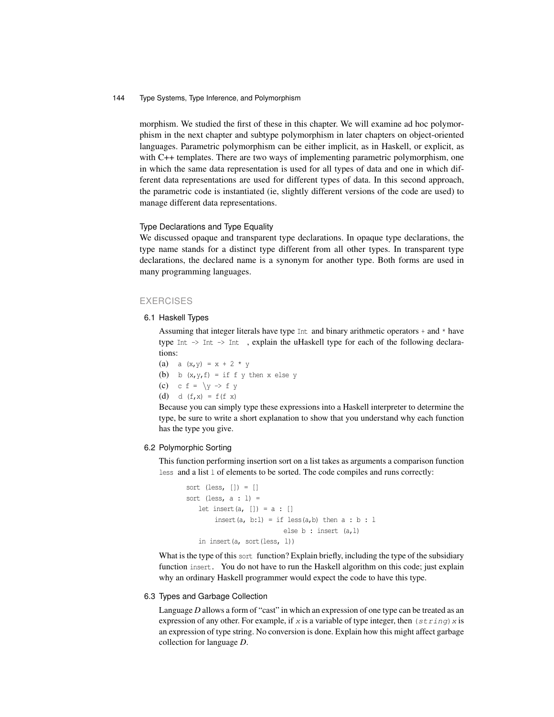morphism. We studied the first of these in this chapter. We will examine ad hoc polymorphism in the next chapter and subtype polymorphism in later chapters on object-oriented languages. Parametric polymorphism can be either implicit, as in Haskell, or explicit, as with C++ templates. There are two ways of implementing parametric polymorphism, one in which the same data representation is used for all types of data and one in which different data representations are used for different types of data. In this second approach, the parametric code is instantiated (ie, slightly different versions of the code are used) to manage different data representations.

## Type Declarations and Type Equality

We discussed opaque and transparent type declarations. In opaque type declarations, the type name stands for a distinct type different from all other types. In transparent type declarations, the declared name is a synonym for another type. Both forms are used in many programming languages.

## EXERCISES

# 6.1 Haskell Types

Assuming that integer literals have type  $Int$  and binary arithmetic operators  $+$  and  $*$  have type Int  $\rightarrow$  Int  $\rightarrow$  Int , explain the uHaskell type for each of the following declarations:

(a) a  $(x,y) = x + 2 * y$ (b) b  $(x,y,f) = if f y then x else y$ (c) c f = *\*y -> f y (d) d  $(f, x) = f(f x)$ 

Because you can simply type these expressions into a Haskell interpreter to determine the type, be sure to write a short explanation to show that you understand why each function has the type you give.

# 6.2 Polymorphic Sorting

This function performing insertion sort on a list takes as arguments a comparison function less and a list l of elements to be sorted. The code compiles and runs correctly:

```
sort (\text{less}, [\ ]) = []sort (less, a : 1) =
   let insert(a, []) = a : []insert(a, b:1) = if less(a,b) then a : b : 1else b : insert (a,l)
   in insert(a, sort(less, l))
```
What is the type of this sort function? Explain briefly, including the type of the subsidiary function insert. You do not have to run the Haskell algorithm on this code; just explain why an ordinary Haskell programmer would expect the code to have this type.

# 6.3 Types and Garbage Collection

Language *D* allows a form of "cast" in which an expression of one type can be treated as an expression of any other. For example, if  $x$  is a variable of type integer, then  $(s_1 t \dot{x} \dot{x})$  is an expression of type string. No conversion is done. Explain how this might affect garbage collection for language *D*.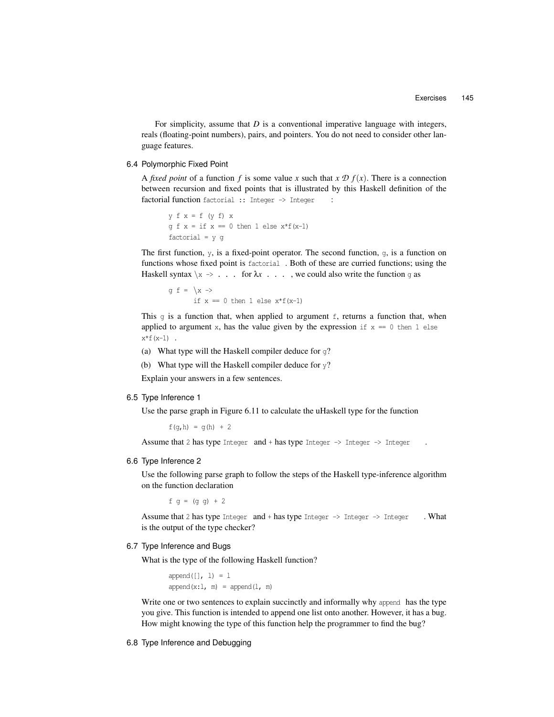For simplicity, assume that *D* is a conventional imperative language with integers, reals (floating-point numbers), pairs, and pointers. You do not need to consider other language features.

#### 6.4 Polymorphic Fixed Point

A *fixed point* of a function *f* is some value *x* such that  $x \mathcal{D} f(x)$ . There is a connection between recursion and fixed points that is illustrated by this Haskell definition of the factorial function factorial :: Integer  $\rightarrow$  Integer :

```
y f x = f(y f) xq f x = if x == 0 then 1 else x * f(x-1)factorial = y q
```
The first function, y, is a fixed-point operator. The second function, g, is a function on functions whose fixed point is factorial . Both of these are curried functions; using the Haskell syntax  $\langle x \rangle$   $\rightarrow$  . . . for  $\lambda x$  . . . , we could also write the function g as

$$
g f = \{x \rightarrow
$$
  
if x == 0 then 1 else x\*f(x-1)

This g is a function that, when applied to argument f, returns a function that, when applied to argument x, has the value given by the expression if  $x = 0$  then 1 else  $x*f(x-1)$  .

- (a) What type will the Haskell compiler deduce for  $\sigma$ ?
- (b) What type will the Haskell compiler deduce for  $y$ ?

Explain your answers in a few sentences.

## 6.5 Type Inference 1

Use the parse graph in Figure 6.11 to calculate the uHaskell type for the function

 $f(q, h) = q(h) + 2$ 

Assume that 2 has type Integer  $and + has type Integer \rightarrow Integer \rightarrow Integer$ 

#### 6.6 Type Inference 2

Use the following parse graph to follow the steps of the Haskell type-inference algorithm on the function declaration

f  $q = (q q) + 2$ 

Assume that 2 has type Integer and + has type Integer -> Integer -> Integer . What is the output of the type checker?

## 6.7 Type Inference and Bugs

What is the type of the following Haskell function?

 $append([], 1) = 1$  $append(x:1, m) = append(1, m)$ 

Write one or two sentences to explain succinctly and informally why append has the type you give. This function is intended to append one list onto another. However, it has a bug. How might knowing the type of this function help the programmer to find the bug?

6.8 Type Inference and Debugging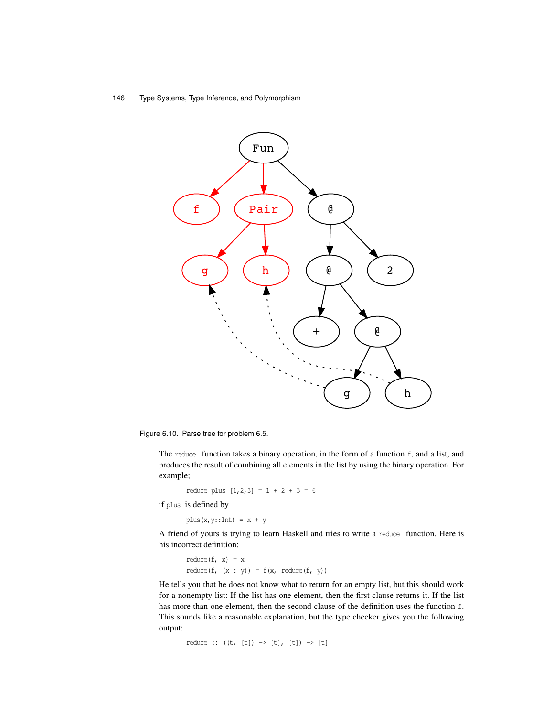



The reduce function takes a binary operation, in the form of a function f, and a list, and produces the result of combining all elements in the list by using the binary operation. For example;

reduce plus  $[1,2,3] = 1 + 2 + 3 = 6$ 

if plus is defined by

plus( $x, y$ ::Int) =  $x + y$ 

A friend of yours is trying to learn Haskell and tries to write a reduce function. Here is his incorrect definition:

reduce(f,  $x$ ) =  $x$ reduce(f,  $(x : y)$ ) = f(x, reduce(f, y))

He tells you that he does not know what to return for an empty list, but this should work for a nonempty list: If the list has one element, then the first clause returns it. If the list has more than one element, then the second clause of the definition uses the function f. This sounds like a reasonable explanation, but the type checker gives you the following output:

reduce ::  $((t, [t]) \rightarrow [t], [t]) \rightarrow [t]$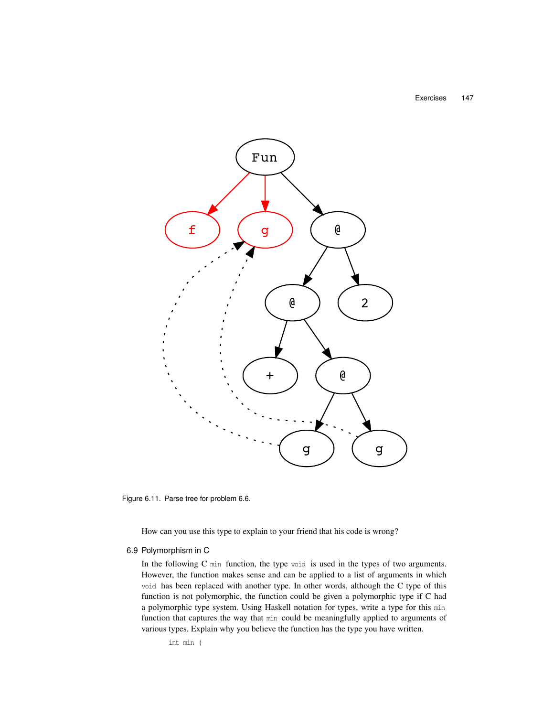

Figure 6.11. Parse tree for problem 6.6.

How can you use this type to explain to your friend that his code is wrong?

# 6.9 Polymorphism in C

In the following C min function, the type void is used in the types of two arguments. However, the function makes sense and can be applied to a list of arguments in which void has been replaced with another type. In other words, although the C type of this function is not polymorphic, the function could be given a polymorphic type if C had a polymorphic type system. Using Haskell notation for types, write a type for this min function that captures the way that min could be meaningfully applied to arguments of various types. Explain why you believe the function has the type you have written.

int min (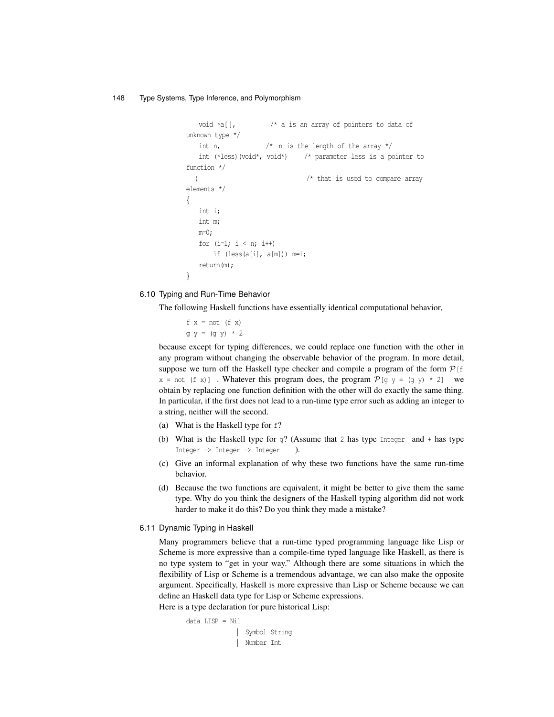```
void *a[ ], /* a is an array of pointers to data of
unknown type */
  int n, \frac{1}{2} /* n is the length of the array \frac{x}{4}int (*less)(void*, void*) /* parameter less is a pointer to
function */
  ) /* that is used to compare array
elements */
{
   int i;
   int m;
   m=0:
   for (i=1; i < n; i++)if (\text{less}(a[i], a[m])) m=i;
   return(m);
}
```
# 6.10 Typing and Run-Time Behavior

The following Haskell functions have essentially identical computational behavior,

 $f x = not (f x)$  $q \ y = (q \ y) * 2$ 

because except for typing differences, we could replace one function with the other in any program without changing the observable behavior of the program. In more detail, suppose we turn off the Haskell type checker and compile a program of the form  $P[f]$  $x = \text{not } (f \ x)$  . Whatever this program does, the program  $\mathcal{P}[g \ y = (g \ y) * 2]$  we obtain by replacing one function definition with the other will do exactly the same thing. In particular, if the first does not lead to a run-time type error such as adding an integer to a string, neither will the second.

- (a) What is the Haskell type for f?
- (b) What is the Haskell type for  $q$ ? (Assume that 2 has type Integer and + has type Integer -> Integer -> Integer ).
- (c) Give an informal explanation of why these two functions have the same run-time behavior.
- (d) Because the two functions are equivalent, it might be better to give them the same type. Why do you think the designers of the Haskell typing algorithm did not work harder to make it do this? Do you think they made a mistake?

## 6.11 Dynamic Typing in Haskell

Many programmers believe that a run-time typed programming language like Lisp or Scheme is more expressive than a compile-time typed language like Haskell, as there is no type system to "get in your way." Although there are some situations in which the flexibility of Lisp or Scheme is a tremendous advantage, we can also make the opposite argument. Specifically, Haskell is more expressive than Lisp or Scheme because we can define an Haskell data type for Lisp or Scheme expressions. Here is a type declaration for pure historical Lisp:

data LISP = Nil *|* Symbol String *|* Number Int